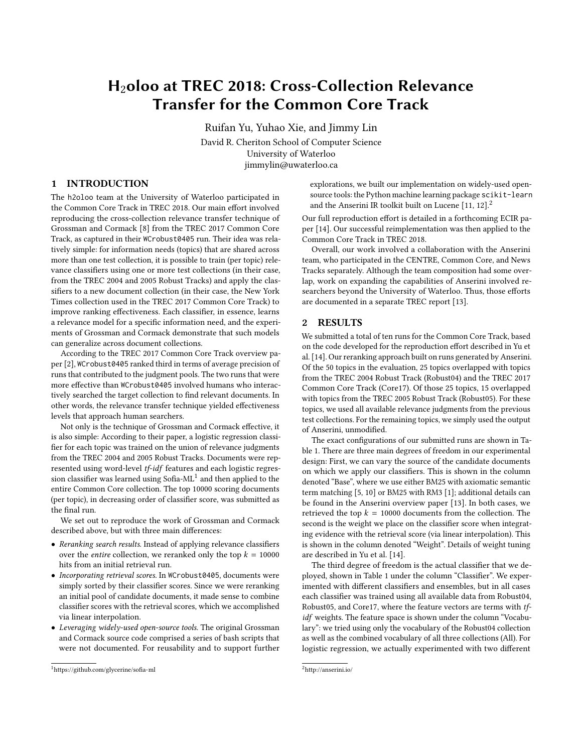# H2oloo at TREC 2018: Cross-Collection Relevance Transfer for the Common Core Track

Ruifan Yu, Yuhao Xie, and Jimmy Lin

David R. Cheriton School of Computer Science University of Waterloo jimmylin@uwaterloo.ca

## 1 INTRODUCTION

The h2oloo team at the University of Waterloo participated in the Common Core Track in TREC 2018. Our main effort involved reproducing the cross-collection relevance transfer technique of Grossman and Cormack [\[8\]](#page-2-0) from the TREC 2017 Common Core Track, as captured in their WCrobust0405 run. Their idea was relatively simple: for information needs (topics) that are shared across more than one test collection, it is possible to train (per topic) relevance classifiers using one or more test collections (in their case, from the TREC 2004 and 2005 Robust Tracks) and apply the classifiers to a new document collection (in their case, the New York Times collection used in the TREC 2017 Common Core Track) to improve ranking effectiveness. Each classifier, in essence, learns a relevance model for a specific information need, and the experiments of Grossman and Cormack demonstrate that such models can generalize across document collections.

According to the TREC 2017 Common Core Track overview paper [\[2\]](#page-2-1), WCrobust0405 ranked third in terms of average precision of runs that contributed to the judgment pools. The two runs that were more effective than WCrobust0405 involved humans who interactively searched the target collection to find relevant documents. In other words, the relevance transfer technique yielded effectiveness levels that approach human searchers.

Not only is the technique of Grossman and Cormack effective, it is also simple: According to their paper, a logistic regression classifier for each topic was trained on the union of relevance judgments from the TREC 2004 and 2005 Robust Tracks. Documents were represented using word-level tf-idf features and each logistic regression classifier was learned using Sofia-ML $^1$  $^1$  and then applied to the entire Common Core collection. The top 10000 scoring documents (per topic), in decreasing order of classifier score, was submitted as the final run.

We set out to reproduce the work of Grossman and Cormack described above, but with three main differences:

- Reranking search results. Instead of applying relevance classifiers over the *entire* collection, we reranked only the top  $k = 10000$ hits from an initial retrieval run.
- Incorporating retrieval scores. In WCrobust0405, documents were simply sorted by their classifier scores. Since we were reranking an initial pool of candidate documents, it made sense to combine classifier scores with the retrieval scores, which we accomplished via linear interpolation.
- Leveraging widely-used open-source tools. The original Grossman and Cormack source code comprised a series of bash scripts that were not documented. For reusability and to support further

explorations, we built our implementation on widely-used opensource tools: the Python machine learning package scikit-learn and the Anserini IR toolkit built on Lucene  $[11, 12]$  $[11, 12]$ .<sup>[2](#page-0-1)</sup>

Our full reproduction effort is detailed in a forthcoming ECIR paper [\[14\]](#page-2-4). Our successful reimplementation was then applied to the Common Core Track in TREC 2018.

Overall, our work involved a collaboration with the Anserini team, who participated in the CENTRE, Common Core, and News Tracks separately. Although the team composition had some overlap, work on expanding the capabilities of Anserini involved researchers beyond the University of Waterloo. Thus, those efforts are documented in a separate TREC report [\[13\]](#page-2-5).

### 2 RESULTS

We submitted a total of ten runs for the Common Core Track, based on the code developed for the reproduction effort described in Yu et al. [\[14\]](#page-2-4). Our reranking approach built on runs generated by Anserini. Of the 50 topics in the evaluation, 25 topics overlapped with topics from the TREC 2004 Robust Track (Robust04) and the TREC 2017 Common Core Track (Core17). Of those 25 topics, 15 overlapped with topics from the TREC 2005 Robust Track (Robust05). For these topics, we used all available relevance judgments from the previous test collections. For the remaining topics, we simply used the output of Anserini, unmodified.

The exact configurations of our submitted runs are shown in Table [1.](#page-1-0) There are three main degrees of freedom in our experimental design: First, we can vary the source of the candidate documents on which we apply our classifiers. This is shown in the column denoted "Base", where we use either BM25 with axiomatic semantic term matching [\[5,](#page-2-6) [10\]](#page-2-7) or BM25 with RM3 [\[1\]](#page-2-8); additional details can be found in the Anserini overview paper [\[13\]](#page-2-5). In both cases, we retrieved the top  $k = 10000$  documents from the collection. The second is the weight we place on the classifier score when integrating evidence with the retrieval score (via linear interpolation). This is shown in the column denoted "Weight". Details of weight tuning are described in Yu et al. [\[14\]](#page-2-4).

The third degree of freedom is the actual classifier that we deployed, shown in Table [1](#page-1-0) under the column "Classifier". We experimented with different classifiers and ensembles, but in all cases each classifier was trained using all available data from Robust04, Robust05, and Core17, where the feature vectors are terms with tfidf weights. The feature space is shown under the column "Vocabulary": we tried using only the vocabulary of the Robust04 collection as well as the combined vocabulary of all three collections (All). For logistic regression, we actually experimented with two different

<span id="page-0-0"></span><sup>1</sup><https://github.com/glycerine/sofia-ml>

<span id="page-0-1"></span> $^2$ <http://anserini.io/>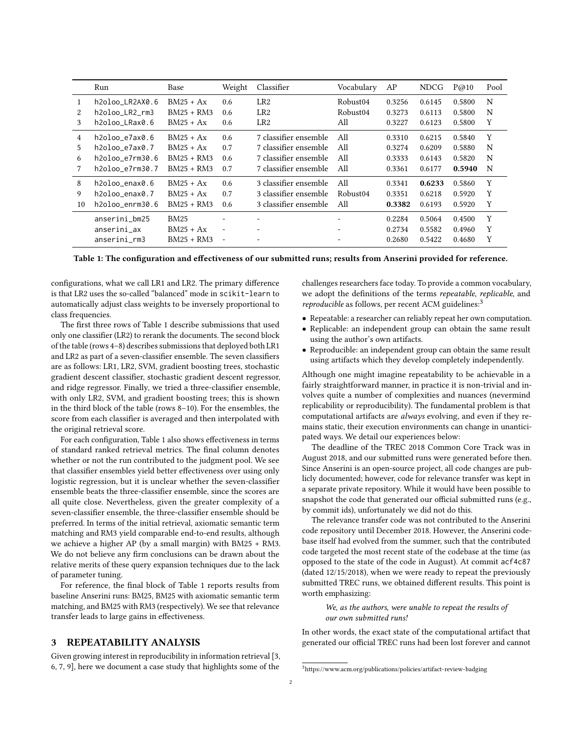<span id="page-1-0"></span>

|                | Run                 | Base         | Weight                   | Classifier            | Vocabulary | AP     | <b>NDCG</b> | P@10   | Pool |
|----------------|---------------------|--------------|--------------------------|-----------------------|------------|--------|-------------|--------|------|
| 1              | h2oloo LR2AX0.6     | $BM25 + Ax$  | 0.6                      | LR <sub>2</sub>       | Robust04   | 0.3256 | 0.6145      | 0.5800 | N    |
| 2              | h2oloo LR2 rm3      | BM25 + RM3   | 0.6                      | LR <sub>2</sub>       | Robust04   | 0.3273 | 0.6113      | 0.5800 | N    |
| 3              | h2oloo LRax0.6      | $BM25 + Ax$  | 0.6                      | LR2                   | All        | 0.3227 | 0.6123      | 0.5800 | Y    |
| $\overline{4}$ | h2oloo_e7ax0.6      | $BM25 + Ax$  | 0.6                      | 7 classifier ensemble | All        | 0.3310 | 0.6215      | 0.5840 | Υ    |
| 5.             | $h2oloo$ e $7ax0.7$ | $BM25 + Ax$  | 0.7                      | 7 classifier ensemble | All        | 0.3274 | 0.6209      | 0.5880 | N    |
| 6              | h2oloo e7rm30.6     | BM25 + RM3   | 0.6                      | 7 classifier ensemble | All        | 0.3333 | 0.6143      | 0.5820 | N    |
|                | h2oloo e7rm30.7     | $BM25 + RM3$ | 0.7                      | 7 classifier ensemble | All        | 0.3361 | 0.6177      | 0.5940 | N    |
| 8              | h2oloo enax0.6      | $BM25 + Ax$  | 0.6                      | 3 classifier ensemble | All        | 0.3341 | 0.6233      | 0.5860 | Y    |
| 9              | h2oloo enax0.7      | $BM25 + Ax$  | 0.7                      | 3 classifier ensemble | Robust04   | 0.3351 | 0.6218      | 0.5920 | Y    |
| 10             | h2oloo enrm30.6     | BM25 + RM3   | 0.6                      | 3 classifier ensemble | All        | 0.3382 | 0.6193      | 0.5920 | Y    |
|                | anserini_bm25       | <b>BM25</b>  | ٠                        |                       |            | 0.2284 | 0.5064      | 0.4500 | Y    |
|                | anserini ax         | $BM25 + Ax$  | $\overline{\phantom{a}}$ | -                     | ٠          | 0.2734 | 0.5582      | 0.4960 | Y    |
|                | anserini rm3        | $BM25 + RM3$ | $\overline{\phantom{a}}$ |                       |            | 0.2680 | 0.5422      | 0.4680 | Y    |

Table 1: The configuration and effectiveness of our submitted runs; results from Anserini provided for reference.

configurations, what we call LR1 and LR2. The primary difference is that LR2 uses the so-called "balanced" mode in scikit-learn to automatically adjust class weights to be inversely proportional to class frequencies.

The first three rows of Table [1](#page-1-0) describe submissions that used only one classifier (LR2) to rerank the documents. The second block of the table (rows 4–8) describes submissions that deployed both LR1 and LR2 as part of a seven-classifier ensemble. The seven classifiers are as follows: LR1, LR2, SVM, gradient boosting trees, stochastic gradient descent classifier, stochastic gradient descent regressor, and ridge regressor. Finally, we tried a three-classifier ensemble, with only LR2, SVM, and gradient boosting trees; this is shown in the third block of the table (rows 8–10). For the ensembles, the score from each classifier is averaged and then interpolated with the original retrieval score.

For each configuration, Table [1](#page-1-0) also shows effectiveness in terms of standard ranked retrieval metrics. The final column denotes whether or not the run contributed to the judgment pool. We see that classifier ensembles yield better effectiveness over using only logistic regression, but it is unclear whether the seven-classifier ensemble beats the three-classifier ensemble, since the scores are all quite close. Nevertheless, given the greater complexity of a seven-classifier ensemble, the three-classifier ensemble should be preferred. In terms of the initial retrieval, axiomatic semantic term matching and RM3 yield comparable end-to-end results, although we achieve a higher AP (by a small margin) with BM25 + RM3. We do not believe any firm conclusions can be drawn about the relative merits of these query expansion techniques due to the lack of parameter tuning.

For reference, the final block of Table [1](#page-1-0) reports results from baseline Anserini runs: BM25, BM25 with axiomatic semantic term matching, and BM25 with RM3 (respectively). We see that relevance transfer leads to large gains in effectiveness.

## 3 REPEATABILITY ANALYSIS

Given growing interest in reproducibility in information retrieval [\[3,](#page-2-9) [6,](#page-2-10) [7,](#page-2-11) [9\]](#page-2-12), here we document a case study that highlights some of the

challenges researchers face today. To provide a common vocabulary, we adopt the definitions of the terms repeatable, replicable, and reproducible as follows, per recent ACM guidelines:<sup>[3](#page-1-1)</sup>

- Repeatable: a researcher can reliably repeat her own computation.
- Replicable: an independent group can obtain the same result using the author's own artifacts.
- Reproducible: an independent group can obtain the same result using artifacts which they develop completely independently.

Although one might imagine repeatability to be achievable in a fairly straightforward manner, in practice it is non-trivial and involves quite a number of complexities and nuances (nevermind replicability or reproducibility). The fundamental problem is that computational artifacts are always evolving, and even if they remains static, their execution environments can change in unanticipated ways. We detail our experiences below:

The deadline of the TREC 2018 Common Core Track was in August 2018, and our submitted runs were generated before then. Since Anserini is an open-source project, all code changes are publicly documented; however, code for relevance transfer was kept in a separate private repository. While it would have been possible to snapshot the code that generated our official submitted runs (e.g., by commit ids), unfortunately we did not do this.

The relevance transfer code was not contributed to the Anserini code repository until December 2018. However, the Anserini codebase itself had evolved from the summer, such that the contributed code targeted the most recent state of the codebase at the time (as opposed to the state of the code in August). At commit acf4c87 (dated 12/15/2018), when we were ready to repeat the previously submitted TREC runs, we obtained different results. This point is worth emphasizing:

We, as the authors, were unable to repeat the results of our own submitted runs!

In other words, the exact state of the computational artifact that generated our official TREC runs had been lost forever and cannot

<span id="page-1-1"></span> $^3$ <https://www.acm.org/publications/policies/artifact-review-badging>